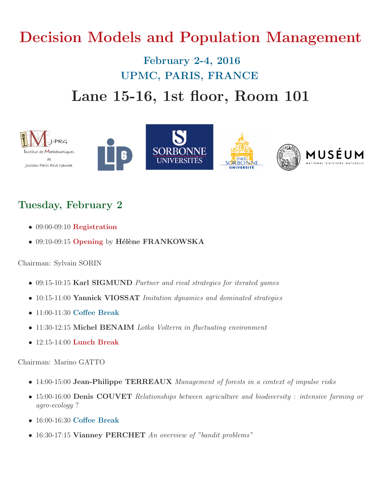# Decision Models and Population Management

## February 2-4, 2016 UPMC, PARIS, FRANCE Lane 15-16, 1st floor, Room 101



## Tuesday, February 2

- 09:00-09:10 Registration
- 09:10-09:15 Opening by Hélène FRANKOWSKA

#### Chairman: Sylvain SORIN

- 09:15-10:15 Karl SIGMUND Partner and rival strategies for iterated games
- 10:15-11:00 Yannick VIOSSAT Imitation dynamics and dominated strategies
- 11:00-11:30 Coffee Break
- 11:30-12:15 Michel BENAIM Lotka Volterra in fluctuating environment
- 12:15-14:00 Lunch Break

#### Chairman: Marino GATTO

- 14:00-15:00 Jean-Philippe TERREAUX Management of forests in a context of impulse risks
- 15:00-16:00 **Denis COUVET** Relationships between agriculture and biodiversity : intensive farming or agro-ecology ?
- 16:00-16:30 Coffee Break
- 16:30-17:15 Vianney PERCHET An overview of "bandit problems"